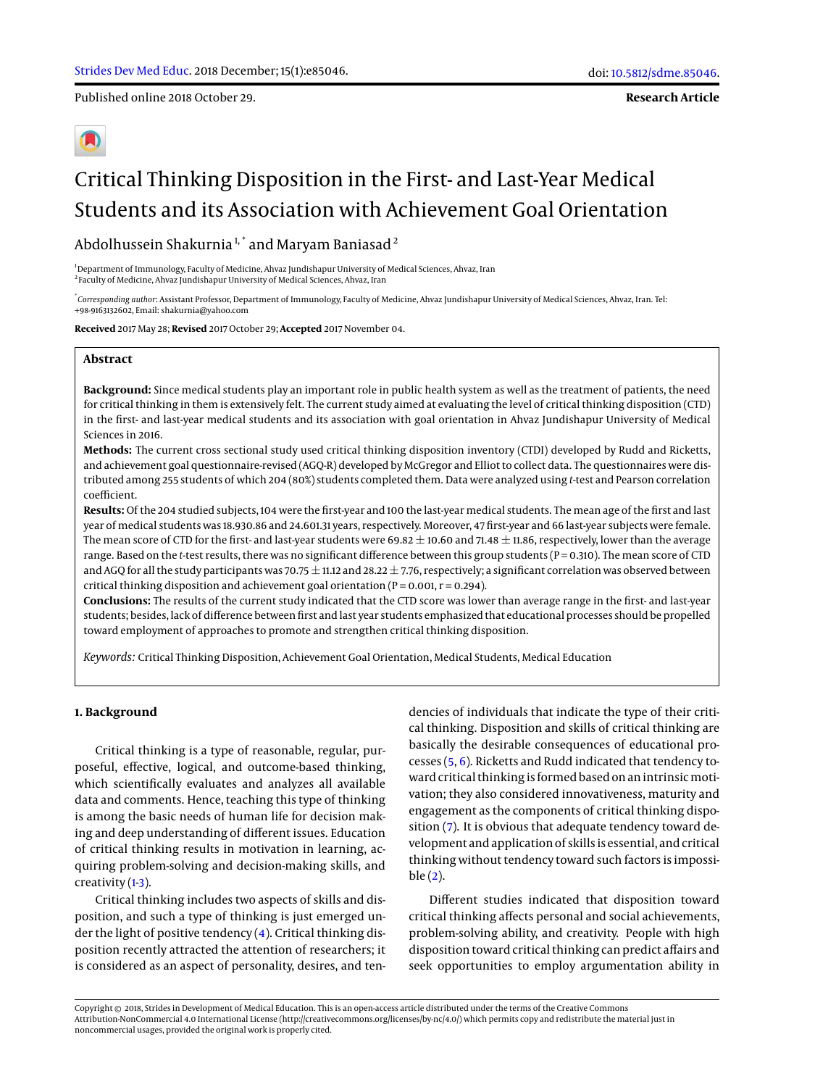Published online 2018 October 29.

**Research Article**

# Critical Thinking Disposition in the First- and Last-Year Medical Students and its Association with Achievement Goal Orientation

Abdolhussein Shakurnia<sup>1,\*</sup> and Maryam Baniasad<sup>2</sup>

<sup>1</sup>Department of Immunology, Faculty of Medicine, Ahvaz Jundishapur University of Medical Sciences, Ahvaz, Iran <sup>2</sup> Faculty of Medicine, Ahvaz Jundishapur University of Medical Sciences, Ahvaz, Iran

\* *Corresponding author*: Assistant Professor, Department of Immunology, Faculty of Medicine, Ahvaz Jundishapur University of Medical Sciences, Ahvaz, Iran. Tel: +98-9163132602, Email: shakurnia@yahoo.com

**Received** 2017 May 28; **Revised** 2017 October 29; **Accepted** 2017 November 04.

# **Abstract**

**Background:** Since medical students play an important role in public health system as well as the treatment of patients, the need for critical thinking in them is extensively felt. The current study aimed at evaluating the level of critical thinking disposition (CTD) in the first- and last-year medical students and its association with goal orientation in Ahvaz Jundishapur University of Medical Sciences in 2016.

**Methods:** The current cross sectional study used critical thinking disposition inventory (CTDI) developed by Rudd and Ricketts, and achievement goal questionnaire-revised (AGQ-R) developed by McGregor and Elliot to collect data. The questionnaires were distributed among 255 students of which 204 (80%) students completed them. Data were analyzed using *t*-test and Pearson correlation coefficient.

**Results:** Of the 204 studied subjects, 104 were the first-year and 100 the last-year medical students. The mean age of the first and last year of medical students was 18.930.86 and 24.601.31 years, respectively. Moreover, 47 first-year and 66 last-year subjects were female. The mean score of CTD for the first- and last-year students were 69.82  $\pm$  10.60 and 71.48  $\pm$  11.86, respectively, lower than the average range. Based on the *t*-test results, there was no significant difference between this group students (P = 0.310). The mean score of CTD and AGQ for all the study participants was 70.75  $\pm$  11.12 and 28.22  $\pm$  7.76, respectively; a significant correlation was observed between critical thinking disposition and achievement goal orientation ( $P = 0.001$ ,  $r = 0.294$ ).

**Conclusions:** The results of the current study indicated that the CTD score was lower than average range in the first- and last-year students; besides, lack of difference between first and last year students emphasized that educational processes should be propelled toward employment of approaches to promote and strengthen critical thinking disposition.

*Keywords:* Critical Thinking Disposition, Achievement Goal Orientation, Medical Students, Medical Education

#### **1. Background**

Critical thinking is a type of reasonable, regular, purposeful, effective, logical, and outcome-based thinking, which scientifically evaluates and analyzes all available data and comments. Hence, teaching this type of thinking is among the basic needs of human life for decision making and deep understanding of different issues. Education of critical thinking results in motivation in learning, acquiring problem-solving and decision-making skills, and creativity  $(1-3)$  $(1-3)$ .

Critical thinking includes two aspects of skills and disposition, and such a type of thinking is just emerged under the light of positive tendency  $(4)$ . Critical thinking disposition recently attracted the attention of researchers; it is considered as an aspect of personality, desires, and tendencies of individuals that indicate the type of their critical thinking. Disposition and skills of critical thinking are basically the desirable consequences of educational processes [\(5,](#page-5-3) [6\)](#page-5-4). Ricketts and Rudd indicated that tendency toward critical thinking is formed based on an intrinsic motivation; they also considered innovativeness, maturity and engagement as the components of critical thinking disposition [\(7\)](#page-5-5). It is obvious that adequate tendency toward development and application of skills is essential, and critical thinking without tendency toward such factors is impossible [\(2\)](#page-5-6).

Different studies indicated that disposition toward critical thinking affects personal and social achievements, problem-solving ability, and creativity. People with high disposition toward critical thinking can predict affairs and seek opportunities to employ argumentation ability in

Copyright © 2018, Strides in Development of Medical Education. This is an open-access article distributed under the terms of the Creative Commons Attribution-NonCommercial 4.0 International License (http://creativecommons.org/licenses/by-nc/4.0/) which permits copy and redistribute the material just in noncommercial usages, provided the original work is properly cited.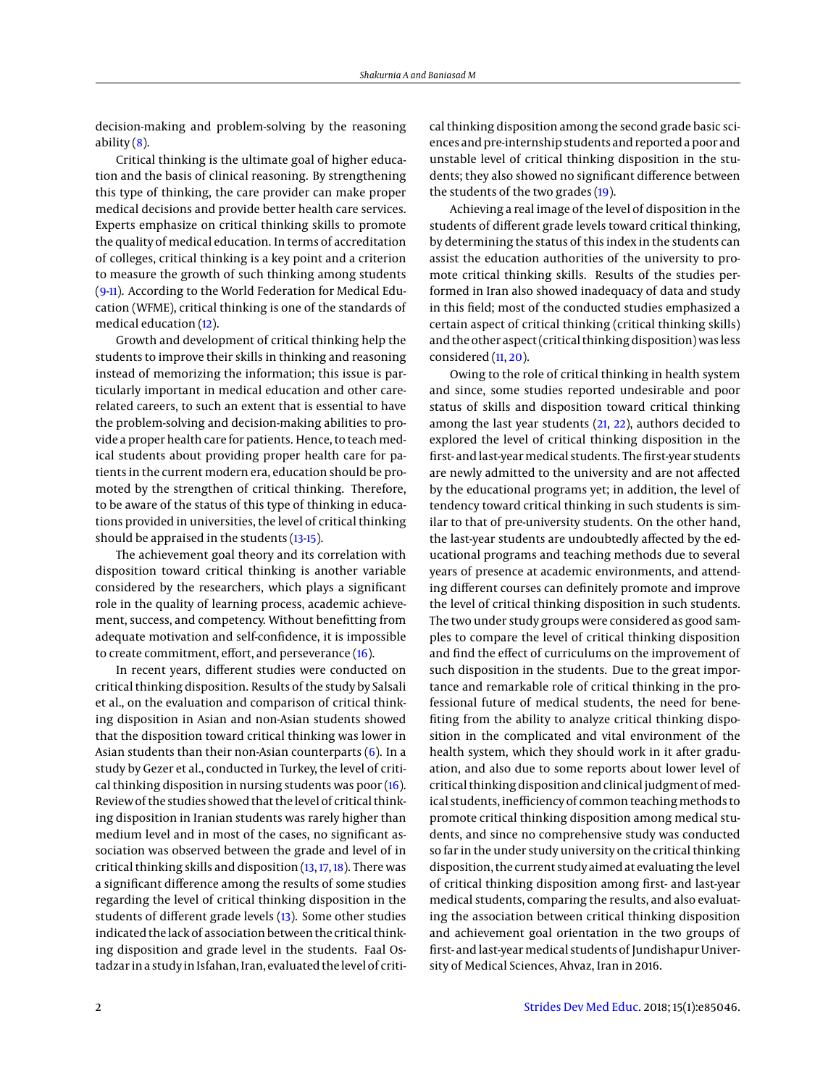decision-making and problem-solving by the reasoning ability  $(8)$ .

Critical thinking is the ultimate goal of higher education and the basis of clinical reasoning. By strengthening this type of thinking, the care provider can make proper medical decisions and provide better health care services. Experts emphasize on critical thinking skills to promote the quality of medical education. In terms of accreditation of colleges, critical thinking is a key point and a criterion to measure the growth of such thinking among students [\(9-](#page-5-8)[11\)](#page-5-9). According to the World Federation for Medical Education (WFME), critical thinking is one of the standards of medical education [\(12\)](#page-5-10).

Growth and development of critical thinking help the students to improve their skills in thinking and reasoning instead of memorizing the information; this issue is particularly important in medical education and other carerelated careers, to such an extent that is essential to have the problem-solving and decision-making abilities to provide a proper health care for patients. Hence, to teach medical students about providing proper health care for patients in the current modern era, education should be promoted by the strengthen of critical thinking. Therefore, to be aware of the status of this type of thinking in educations provided in universities, the level of critical thinking should be appraised in the students [\(13-](#page-5-11)[15\)](#page-5-12).

The achievement goal theory and its correlation with disposition toward critical thinking is another variable considered by the researchers, which plays a significant role in the quality of learning process, academic achievement, success, and competency. Without benefitting from adequate motivation and self-confidence, it is impossible to create commitment, effort, and perseverance [\(16\)](#page-5-13).

In recent years, different studies were conducted on critical thinking disposition. Results of the study by Salsali et al., on the evaluation and comparison of critical thinking disposition in Asian and non-Asian students showed that the disposition toward critical thinking was lower in Asian students than their non-Asian counterparts  $(6)$ . In a study by Gezer et al., conducted in Turkey, the level of critical thinking disposition in nursing students was poor [\(16\)](#page-5-13). Review of the studies showed that the level of critical thinking disposition in Iranian students was rarely higher than medium level and in most of the cases, no significant association was observed between the grade and level of in critical thinking skills and disposition [\(13,](#page-5-11) [17,](#page-5-14) [18\)](#page-5-15). There was a significant difference among the results of some studies regarding the level of critical thinking disposition in the students of different grade levels [\(13\)](#page-5-11). Some other studies indicated the lack of association between the critical thinking disposition and grade level in the students. Faal Ostadzar in a study in Isfahan, Iran, evaluated the level of critical thinking disposition among the second grade basic sciences and pre-internship students and reported a poor and unstable level of critical thinking disposition in the students; they also showed no significant difference between the students of the two grades [\(19\)](#page-5-16).

Achieving a real image of the level of disposition in the students of different grade levels toward critical thinking, by determining the status of this index in the students can assist the education authorities of the university to promote critical thinking skills. Results of the studies performed in Iran also showed inadequacy of data and study in this field; most of the conducted studies emphasized a certain aspect of critical thinking (critical thinking skills) and the other aspect (critical thinking disposition) was less considered [\(11,](#page-5-9) [20\)](#page-5-17).

Owing to the role of critical thinking in health system and since, some studies reported undesirable and poor status of skills and disposition toward critical thinking among the last year students [\(21,](#page-5-18) [22\)](#page-5-19), authors decided to explored the level of critical thinking disposition in the first- and last-year medical students. The first-year students are newly admitted to the university and are not affected by the educational programs yet; in addition, the level of tendency toward critical thinking in such students is similar to that of pre-university students. On the other hand, the last-year students are undoubtedly affected by the educational programs and teaching methods due to several years of presence at academic environments, and attending different courses can definitely promote and improve the level of critical thinking disposition in such students. The two under study groups were considered as good samples to compare the level of critical thinking disposition and find the effect of curriculums on the improvement of such disposition in the students. Due to the great importance and remarkable role of critical thinking in the professional future of medical students, the need for benefiting from the ability to analyze critical thinking disposition in the complicated and vital environment of the health system, which they should work in it after graduation, and also due to some reports about lower level of critical thinking disposition and clinical judgment of medical students, inefficiency of common teaching methods to promote critical thinking disposition among medical students, and since no comprehensive study was conducted so far in the under study university on the critical thinking disposition, the current study aimed at evaluating the level of critical thinking disposition among first- and last-year medical students, comparing the results, and also evaluating the association between critical thinking disposition and achievement goal orientation in the two groups of first- and last-year medical students of Jundishapur University of Medical Sciences, Ahvaz, Iran in 2016.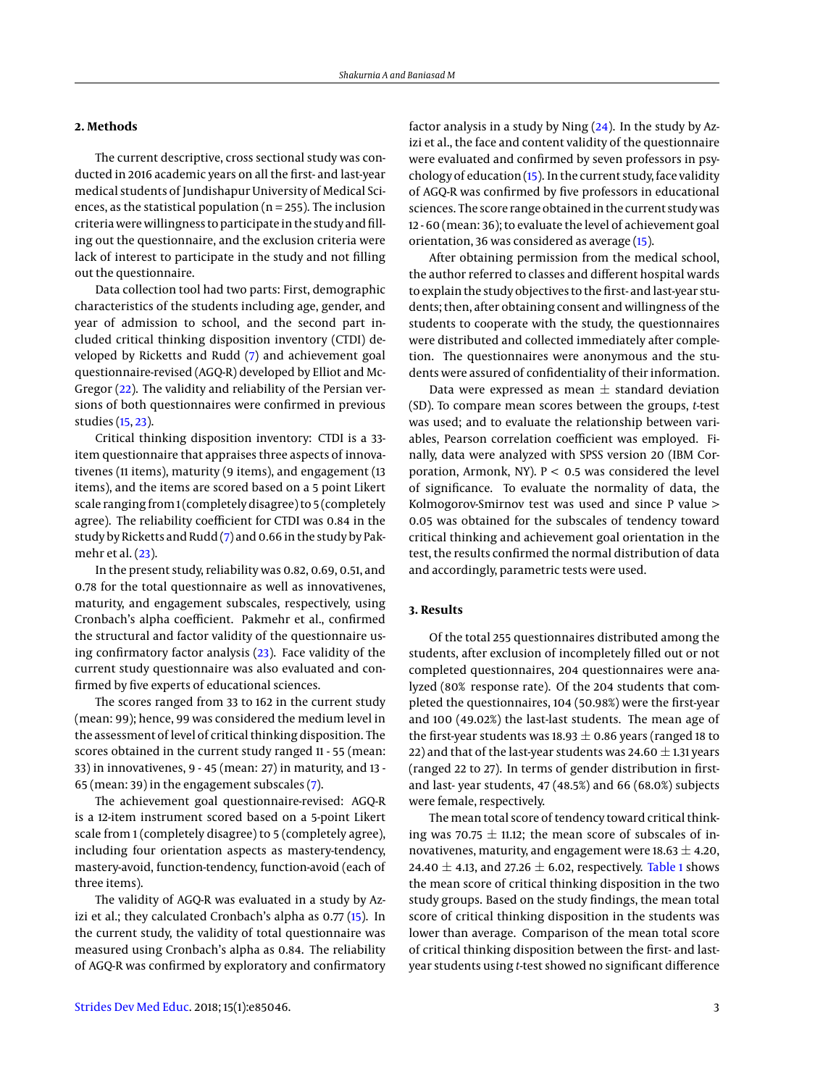### **2. Methods**

The current descriptive, cross sectional study was conducted in 2016 academic years on all the first- and last-year medical students of Jundishapur University of Medical Sciences, as the statistical population ( $n = 255$ ). The inclusion criteria were willingness to participate in the study and filling out the questionnaire, and the exclusion criteria were lack of interest to participate in the study and not filling out the questionnaire.

Data collection tool had two parts: First, demographic characteristics of the students including age, gender, and year of admission to school, and the second part included critical thinking disposition inventory (CTDI) developed by Ricketts and Rudd [\(7\)](#page-5-5) and achievement goal questionnaire-revised (AGQ-R) developed by Elliot and Mc-Gregor [\(22\)](#page-5-19). The validity and reliability of the Persian versions of both questionnaires were confirmed in previous studies [\(15,](#page-5-12) [23\)](#page-5-20).

Critical thinking disposition inventory: CTDI is a 33 item questionnaire that appraises three aspects of innovativenes (11 items), maturity (9 items), and engagement (13 items), and the items are scored based on a 5 point Likert scale ranging from 1 (completely disagree) to 5 (completely agree). The reliability coefficient for CTDI was 0.84 in the study by Ricketts and Rudd [\(7\)](#page-5-5) and 0.66 in the study by Pakmehr et al. [\(23\)](#page-5-20).

In the present study, reliability was 0.82, 0.69, 0.51, and 0.78 for the total questionnaire as well as innovativenes, maturity, and engagement subscales, respectively, using Cronbach's alpha coefficient. Pakmehr et al., confirmed the structural and factor validity of the questionnaire using confirmatory factor analysis [\(23\)](#page-5-20). Face validity of the current study questionnaire was also evaluated and confirmed by five experts of educational sciences.

The scores ranged from 33 to 162 in the current study (mean: 99); hence, 99 was considered the medium level in the assessment of level of critical thinking disposition. The scores obtained in the current study ranged 11 - 55 (mean: 33) in innovativenes, 9 - 45 (mean: 27) in maturity, and 13 - 65 (mean: 39) in the engagement subscales [\(7\)](#page-5-5).

The achievement goal questionnaire-revised: AGQ-R is a 12-item instrument scored based on a 5-point Likert scale from 1 (completely disagree) to 5 (completely agree), including four orientation aspects as mastery-tendency, mastery-avoid, function-tendency, function-avoid (each of three items).

The validity of AGQ-R was evaluated in a study by Azizi et al.; they calculated Cronbach's alpha as 0.77 [\(15\)](#page-5-12). In the current study, the validity of total questionnaire was measured using Cronbach's alpha as 0.84. The reliability of AGQ-R was confirmed by exploratory and confirmatory

factor analysis in a study by Ning [\(24\)](#page-5-21). In the study by Azizi et al., the face and content validity of the questionnaire were evaluated and confirmed by seven professors in psychology of education [\(15\)](#page-5-12). In the current study, face validity of AGQ-R was confirmed by five professors in educational sciences. The score range obtained in the current study was 12 - 60 (mean: 36); to evaluate the level of achievement goal orientation, 36 was considered as average [\(15\)](#page-5-12).

After obtaining permission from the medical school, the author referred to classes and different hospital wards to explain the study objectives to the first- and last-year students; then, after obtaining consent and willingness of the students to cooperate with the study, the questionnaires were distributed and collected immediately after completion. The questionnaires were anonymous and the students were assured of confidentiality of their information.

Data were expressed as mean  $\pm$  standard deviation (SD). To compare mean scores between the groups, *t*-test was used; and to evaluate the relationship between variables, Pearson correlation coefficient was employed. Finally, data were analyzed with SPSS version 20 (IBM Corporation, Armonk, NY).  $P < 0.5$  was considered the level of significance. To evaluate the normality of data, the Kolmogorov-Smirnov test was used and since P value > 0.05 was obtained for the subscales of tendency toward critical thinking and achievement goal orientation in the test, the results confirmed the normal distribution of data and accordingly, parametric tests were used.

# **3. Results**

Of the total 255 questionnaires distributed among the students, after exclusion of incompletely filled out or not completed questionnaires, 204 questionnaires were analyzed (80% response rate). Of the 204 students that completed the questionnaires, 104 (50.98%) were the first-year and 100 (49.02%) the last-last students. The mean age of the first-year students was 18.93  $\pm$  0.86 years (ranged 18 to 22) and that of the last-year students was 24.60  $\pm$  1.31 years (ranged 22 to 27). In terms of gender distribution in firstand last- year students, 47 (48.5%) and 66 (68.0%) subjects were female, respectively.

The mean total score of tendency toward critical thinking was 70.75  $\pm$  11.12; the mean score of subscales of innovativenes, maturity, and engagement were  $18.63 \pm 4.20$ , 24.40  $\pm$  4.13, and 27.26  $\pm$  6.02, respectively. [Table 1](#page-4-0) shows the mean score of critical thinking disposition in the two study groups. Based on the study findings, the mean total score of critical thinking disposition in the students was lower than average. Comparison of the mean total score of critical thinking disposition between the first- and lastyear students using *t*-test showed no significant difference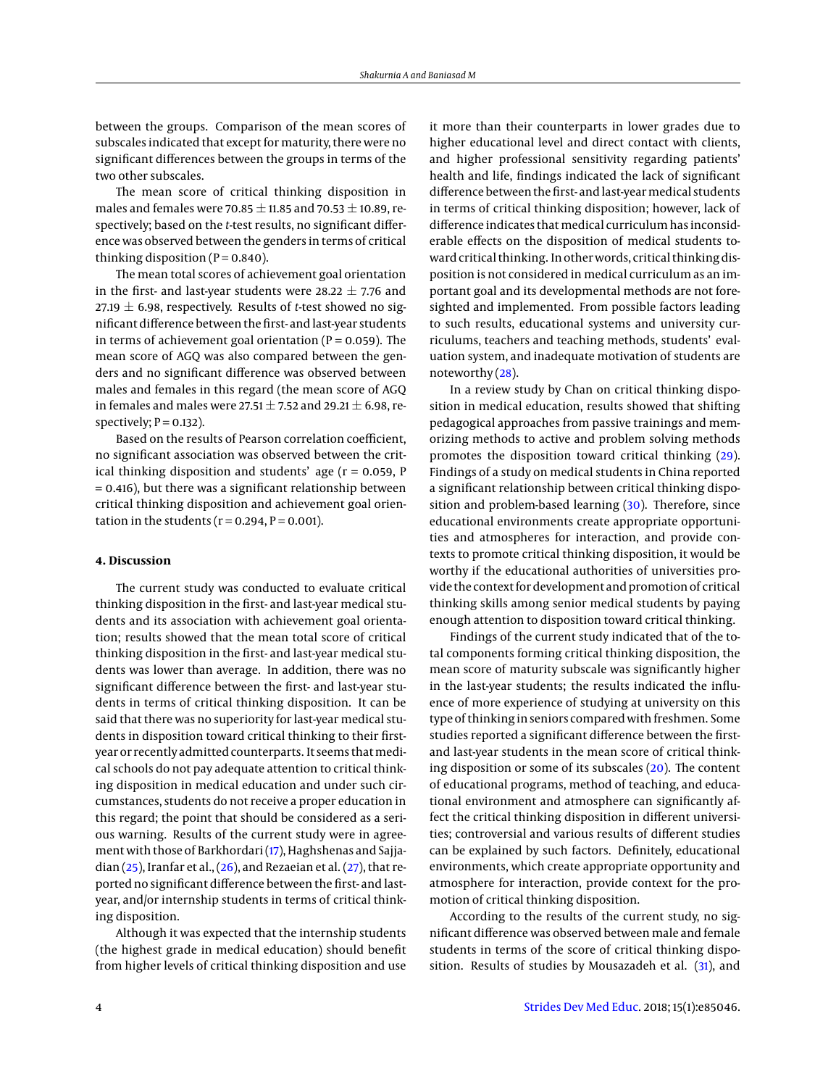between the groups. Comparison of the mean scores of subscales indicated that except for maturity, there were no significant differences between the groups in terms of the two other subscales.

The mean score of critical thinking disposition in males and females were 70.85  $\pm$  11.85 and 70.53  $\pm$  10.89, respectively; based on the *t*-test results, no significant difference was observed between the genders in terms of critical thinking disposition  $(P = 0.840)$ .

The mean total scores of achievement goal orientation in the first- and last-year students were 28.22  $\pm$  7.76 and 27.19  $\pm$  6.98, respectively. Results of *t*-test showed no significant difference between the first- and last-year students in terms of achievement goal orientation ( $P = 0.059$ ). The mean score of AGQ was also compared between the genders and no significant difference was observed between males and females in this regard (the mean score of AGQ in females and males were 27.51  $\pm$  7.52 and 29.21  $\pm$  6.98, respectively;  $P = 0.132$ ).

Based on the results of Pearson correlation coefficient, no significant association was observed between the critical thinking disposition and students' age  $(r = 0.059, P)$ = 0.416), but there was a significant relationship between critical thinking disposition and achievement goal orientation in the students ( $r = 0.294$ ,  $P = 0.001$ ).

#### **4. Discussion**

The current study was conducted to evaluate critical thinking disposition in the first- and last-year medical students and its association with achievement goal orientation; results showed that the mean total score of critical thinking disposition in the first- and last-year medical students was lower than average. In addition, there was no significant difference between the first- and last-year students in terms of critical thinking disposition. It can be said that there was no superiority for last-year medical students in disposition toward critical thinking to their firstyear or recently admitted counterparts. It seems that medical schools do not pay adequate attention to critical thinking disposition in medical education and under such circumstances, students do not receive a proper education in this regard; the point that should be considered as a serious warning. Results of the current study were in agreement with those of Barkhordari [\(17\)](#page-5-14), Haghshenas and Sajjadian  $(25)$ , Iranfar et al.,  $(26)$ , and Rezaeian et al.  $(27)$ , that reported no significant difference between the first- and lastyear, and/or internship students in terms of critical thinking disposition.

Although it was expected that the internship students (the highest grade in medical education) should benefit from higher levels of critical thinking disposition and use

it more than their counterparts in lower grades due to higher educational level and direct contact with clients, and higher professional sensitivity regarding patients' health and life, findings indicated the lack of significant difference between the first- and last-year medical students in terms of critical thinking disposition; however, lack of difference indicates that medical curriculum has inconsiderable effects on the disposition of medical students toward critical thinking. In other words, critical thinking disposition is not considered in medical curriculum as an important goal and its developmental methods are not foresighted and implemented. From possible factors leading to such results, educational systems and university curriculums, teachers and teaching methods, students' evaluation system, and inadequate motivation of students are noteworthy [\(28\)](#page-5-25).

In a review study by Chan on critical thinking disposition in medical education, results showed that shifting pedagogical approaches from passive trainings and memorizing methods to active and problem solving methods promotes the disposition toward critical thinking [\(29\)](#page-5-26). Findings of a study on medical students in China reported a significant relationship between critical thinking dispo-sition and problem-based learning [\(30\)](#page-5-27). Therefore, since educational environments create appropriate opportunities and atmospheres for interaction, and provide contexts to promote critical thinking disposition, it would be worthy if the educational authorities of universities provide the context for development and promotion of critical thinking skills among senior medical students by paying enough attention to disposition toward critical thinking.

Findings of the current study indicated that of the total components forming critical thinking disposition, the mean score of maturity subscale was significantly higher in the last-year students; the results indicated the influence of more experience of studying at university on this type of thinking in seniors compared with freshmen. Some studies reported a significant difference between the firstand last-year students in the mean score of critical thinking disposition or some of its subscales  $(20)$ . The content of educational programs, method of teaching, and educational environment and atmosphere can significantly affect the critical thinking disposition in different universities; controversial and various results of different studies can be explained by such factors. Definitely, educational environments, which create appropriate opportunity and atmosphere for interaction, provide context for the promotion of critical thinking disposition.

According to the results of the current study, no significant difference was observed between male and female students in terms of the score of critical thinking dispo-sition. Results of studies by Mousazadeh et al. [\(31\)](#page-5-28), and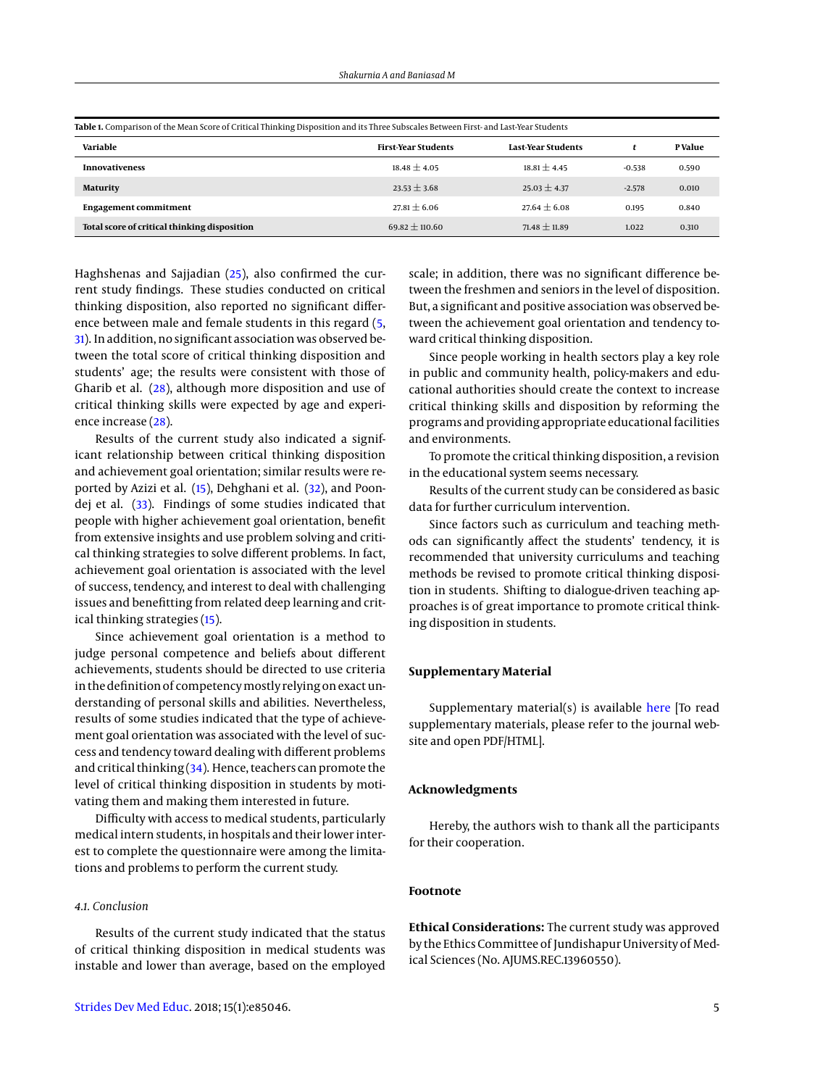<span id="page-4-0"></span>

| Table 1. Comparison of the Mean Score of Critical Thinking Disposition and its Three Subscales Between First- and Last-Year Students |                            |                    |          |        |
|--------------------------------------------------------------------------------------------------------------------------------------|----------------------------|--------------------|----------|--------|
| Variable                                                                                                                             | <b>First-Year Students</b> | Last-Year Students |          | PValue |
| <b>Innovativeness</b>                                                                                                                | $18.48 \pm 4.05$           | $18.81 + 4.45$     | $-0.538$ | 0.590  |
| Maturity                                                                                                                             | $23.53 \pm 3.68$           | $25.03 \pm 4.37$   | $-2.578$ | 0.010  |
| <b>Engagement commitment</b>                                                                                                         | $27.81 + 6.06$             | $27.64 + 6.08$     | 0.195    | 0.840  |
| Total score of critical thinking disposition                                                                                         | $69.82 \pm 110.60$         | $71.48 \pm 11.89$  | 1.022    | 0.310  |

Haghshenas and Sajjadian [\(25\)](#page-5-22), also confirmed the current study findings. These studies conducted on critical thinking disposition, also reported no significant difference between male and female students in this regard [\(5,](#page-5-3) [31\)](#page-5-28). In addition, no significant association was observed between the total score of critical thinking disposition and students' age; the results were consistent with those of Gharib et al. [\(28\)](#page-5-25), although more disposition and use of critical thinking skills were expected by age and experience increase [\(28\)](#page-5-25).

Results of the current study also indicated a significant relationship between critical thinking disposition and achievement goal orientation; similar results were reported by Azizi et al. [\(15\)](#page-5-12), Dehghani et al. [\(32\)](#page-5-29), and Poondej et al. [\(33\)](#page-5-30). Findings of some studies indicated that people with higher achievement goal orientation, benefit from extensive insights and use problem solving and critical thinking strategies to solve different problems. In fact, achievement goal orientation is associated with the level of success, tendency, and interest to deal with challenging issues and benefitting from related deep learning and critical thinking strategies [\(15\)](#page-5-12).

Since achievement goal orientation is a method to judge personal competence and beliefs about different achievements, students should be directed to use criteria in the definition of competency mostly relying on exact understanding of personal skills and abilities. Nevertheless, results of some studies indicated that the type of achievement goal orientation was associated with the level of success and tendency toward dealing with different problems and critical thinking [\(34\)](#page-5-31). Hence, teachers can promote the level of critical thinking disposition in students by motivating them and making them interested in future.

Difficulty with access to medical students, particularly medical intern students, in hospitals and their lower interest to complete the questionnaire were among the limitations and problems to perform the current study.

# *4.1. Conclusion*

Results of the current study indicated that the status of critical thinking disposition in medical students was instable and lower than average, based on the employed

scale; in addition, there was no significant difference between the freshmen and seniors in the level of disposition. But, a significant and positive association was observed between the achievement goal orientation and tendency toward critical thinking disposition.

Since people working in health sectors play a key role in public and community health, policy-makers and educational authorities should create the context to increase critical thinking skills and disposition by reforming the programs and providing appropriate educational facilities and environments.

To promote the critical thinking disposition, a revision in the educational system seems necessary.

Results of the current study can be considered as basic data for further curriculum intervention.

Since factors such as curriculum and teaching methods can significantly affect the students' tendency, it is recommended that university curriculums and teaching methods be revised to promote critical thinking disposition in students. Shifting to dialogue-driven teaching approaches is of great importance to promote critical thinking disposition in students.

#### **Supplementary Material**

Supplementary material(s) is available [here](https://cdn.neoscriber.org/cdn/serve/31452/1ddcc58862742d1454b297dd602c09fab1ce9f02/sdme-85046-supplementary%20file.pdf)  $[To read]$ supplementary materials, please refer to the journal website and open PDF/HTML].

#### **Acknowledgments**

Hereby, the authors wish to thank all the participants for their cooperation.

### **Footnote**

**Ethical Considerations:** The current study was approved by the Ethics Committee of Jundishapur University of Medical Sciences (No. AJUMS.REC.13960550).